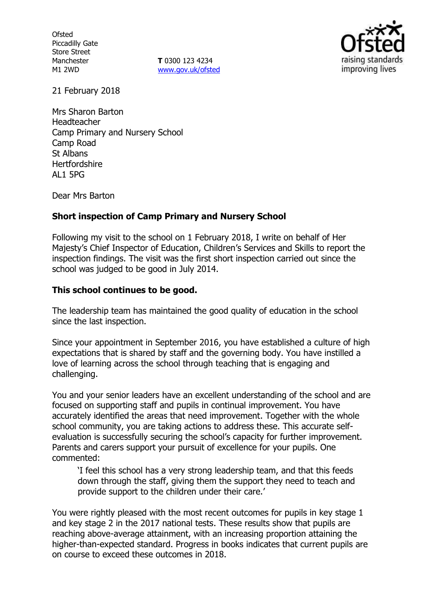**Ofsted** Piccadilly Gate Store Street Manchester M1 2WD

**T** 0300 123 4234 www.gov.uk/ofsted



21 February 2018

Mrs Sharon Barton Headteacher Camp Primary and Nursery School Camp Road St Albans **Hertfordshire** AL1 5PG

Dear Mrs Barton

## **Short inspection of Camp Primary and Nursery School**

Following my visit to the school on 1 February 2018, I write on behalf of Her Majesty's Chief Inspector of Education, Children's Services and Skills to report the inspection findings. The visit was the first short inspection carried out since the school was judged to be good in July 2014.

## **This school continues to be good.**

The leadership team has maintained the good quality of education in the school since the last inspection.

Since your appointment in September 2016, you have established a culture of high expectations that is shared by staff and the governing body. You have instilled a love of learning across the school through teaching that is engaging and challenging.

You and your senior leaders have an excellent understanding of the school and are focused on supporting staff and pupils in continual improvement. You have accurately identified the areas that need improvement. Together with the whole school community, you are taking actions to address these. This accurate selfevaluation is successfully securing the school's capacity for further improvement. Parents and carers support your pursuit of excellence for your pupils. One commented:

'I feel this school has a very strong leadership team, and that this feeds down through the staff, giving them the support they need to teach and provide support to the children under their care.'

You were rightly pleased with the most recent outcomes for pupils in key stage 1 and key stage 2 in the 2017 national tests. These results show that pupils are reaching above-average attainment, with an increasing proportion attaining the higher-than-expected standard. Progress in books indicates that current pupils are on course to exceed these outcomes in 2018.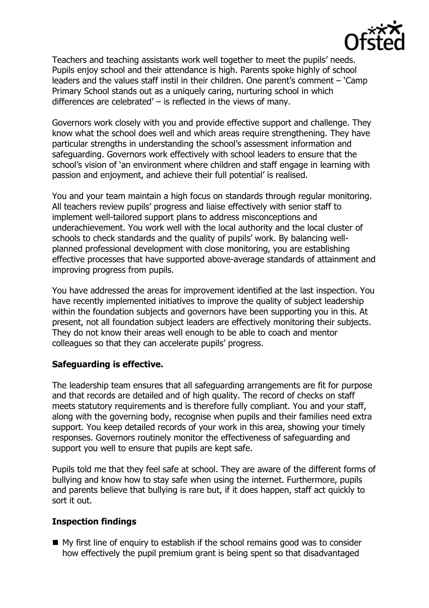

Teachers and teaching assistants work well together to meet the pupils' needs. Pupils enjoy school and their attendance is high. Parents spoke highly of school leaders and the values staff instil in their children. One parent's comment – 'Camp Primary School stands out as a uniquely caring, nurturing school in which differences are celebrated' – is reflected in the views of many.

Governors work closely with you and provide effective support and challenge. They know what the school does well and which areas require strengthening. They have particular strengths in understanding the school's assessment information and safeguarding. Governors work effectively with school leaders to ensure that the school's vision of 'an environment where children and staff engage in learning with passion and enjoyment, and achieve their full potential' is realised.

You and your team maintain a high focus on standards through regular monitoring. All teachers review pupils' progress and liaise effectively with senior staff to implement well-tailored support plans to address misconceptions and underachievement. You work well with the local authority and the local cluster of schools to check standards and the quality of pupils' work. By balancing wellplanned professional development with close monitoring, you are establishing effective processes that have supported above-average standards of attainment and improving progress from pupils.

You have addressed the areas for improvement identified at the last inspection. You have recently implemented initiatives to improve the quality of subject leadership within the foundation subjects and governors have been supporting you in this. At present, not all foundation subject leaders are effectively monitoring their subjects. They do not know their areas well enough to be able to coach and mentor colleagues so that they can accelerate pupils' progress.

## **Safeguarding is effective.**

The leadership team ensures that all safeguarding arrangements are fit for purpose and that records are detailed and of high quality. The record of checks on staff meets statutory requirements and is therefore fully compliant. You and your staff, along with the governing body, recognise when pupils and their families need extra support. You keep detailed records of your work in this area, showing your timely responses. Governors routinely monitor the effectiveness of safeguarding and support you well to ensure that pupils are kept safe.

Pupils told me that they feel safe at school. They are aware of the different forms of bullying and know how to stay safe when using the internet. Furthermore, pupils and parents believe that bullying is rare but, if it does happen, staff act quickly to sort it out.

## **Inspection findings**

 $\blacksquare$  My first line of enquiry to establish if the school remains good was to consider how effectively the pupil premium grant is being spent so that disadvantaged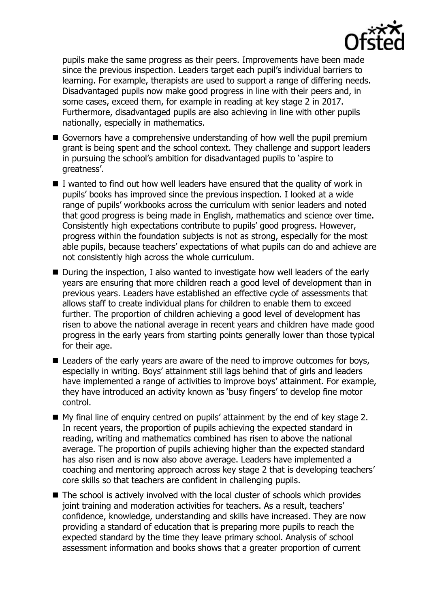

pupils make the same progress as their peers. Improvements have been made since the previous inspection. Leaders target each pupil's individual barriers to learning. For example, therapists are used to support a range of differing needs. Disadvantaged pupils now make good progress in line with their peers and, in some cases, exceed them, for example in reading at key stage 2 in 2017. Furthermore, disadvantaged pupils are also achieving in line with other pupils nationally, especially in mathematics.

- Governors have a comprehensive understanding of how well the pupil premium grant is being spent and the school context. They challenge and support leaders in pursuing the school's ambition for disadvantaged pupils to 'aspire to greatness'.
- $\blacksquare$  I wanted to find out how well leaders have ensured that the quality of work in pupils' books has improved since the previous inspection. I looked at a wide range of pupils' workbooks across the curriculum with senior leaders and noted that good progress is being made in English, mathematics and science over time. Consistently high expectations contribute to pupils' good progress. However, progress within the foundation subjects is not as strong, especially for the most able pupils, because teachers' expectations of what pupils can do and achieve are not consistently high across the whole curriculum.
- During the inspection, I also wanted to investigate how well leaders of the early years are ensuring that more children reach a good level of development than in previous years. Leaders have established an effective cycle of assessments that allows staff to create individual plans for children to enable them to exceed further. The proportion of children achieving a good level of development has risen to above the national average in recent years and children have made good progress in the early years from starting points generally lower than those typical for their age.
- Leaders of the early years are aware of the need to improve outcomes for boys, especially in writing. Boys' attainment still lags behind that of girls and leaders have implemented a range of activities to improve boys' attainment. For example, they have introduced an activity known as 'busy fingers' to develop fine motor control.
- My final line of enquiry centred on pupils' attainment by the end of key stage 2. In recent years, the proportion of pupils achieving the expected standard in reading, writing and mathematics combined has risen to above the national average. The proportion of pupils achieving higher than the expected standard has also risen and is now also above average. Leaders have implemented a coaching and mentoring approach across key stage 2 that is developing teachers' core skills so that teachers are confident in challenging pupils.
- The school is actively involved with the local cluster of schools which provides joint training and moderation activities for teachers. As a result, teachers' confidence, knowledge, understanding and skills have increased. They are now providing a standard of education that is preparing more pupils to reach the expected standard by the time they leave primary school. Analysis of school assessment information and books shows that a greater proportion of current